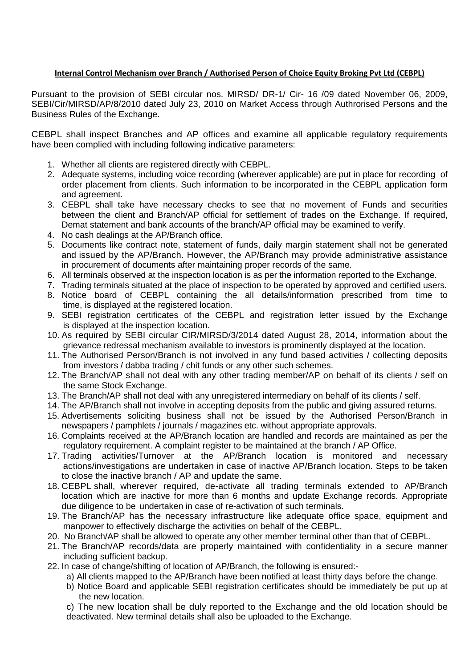## **Internal Control Mechanism over Branch / Authorised Person of Choice Equity Broking Pvt Ltd (CEBPL)**

Pursuant to the provision of SEBI circular nos. MIRSD/ DR-1/ Cir- 16 /09 dated November 06, 2009, SEBI/Cir/MIRSD/AP/8/2010 dated July 23, 2010 on Market Access through Authrorised Persons and the Business Rules of the Exchange.

CEBPL shall inspect Branches and AP offices and examine all applicable regulatory requirements have been complied with including following indicative parameters:

- 1. Whether all clients are registered directly with CEBPL.
- 2. Adequate systems, including voice recording (wherever applicable) are put in place for recording of order placement from clients. Such information to be incorporated in the CEBPL application form and agreement.
- 3. CEBPL shall take have necessary checks to see that no movement of Funds and securities between the client and Branch/AP official for settlement of trades on the Exchange. If required, Demat statement and bank accounts of the branch/AP official may be examined to verify.
- 4. No cash dealings at the AP/Branch office.
- 5. Documents like contract note, statement of funds, daily margin statement shall not be generated and issued by the AP/Branch. However, the AP/Branch may provide administrative assistance in procurement of documents after maintaining proper records of the same.
- 6. All terminals observed at the inspection location is as per the information reported to the Exchange.
- 7. Trading terminals situated at the place of inspection to be operated by approved and certified users.
- 8. Notice board of CEBPL containing the all details/information prescribed from time to time, is displayed at the registered location.
- 9. SEBI registration certificates of the CEBPL and registration letter issued by the Exchange is displayed at the inspection location.
- 10. As required by SEBI circular CIR/MIRSD/3/2014 dated August 28, 2014, information about the grievance redressal mechanism available to investors is prominently displayed at the location.
- 11. The Authorised Person/Branch is not involved in any fund based activities / collecting deposits from investors / dabba trading / chit funds or any other such schemes.
- 12. The Branch/AP shall not deal with any other trading member/AP on behalf of its clients / self on the same Stock Exchange.
- 13. The Branch/AP shall not deal with any unregistered intermediary on behalf of its clients / self.
- 14. The AP/Branch shall not involve in accepting deposits from the public and giving assured returns.
- 15. Advertisements soliciting business shall not be issued by the Authorised Person/Branch in newspapers / pamphlets / journals / magazines etc. without appropriate approvals.
- 16. Complaints received at the AP/Branch location are handled and records are maintained as per the regulatory requirement. A complaint register to be maintained at the branch / AP Office.
- 17. Trading activities/Turnover at the AP/Branch location is monitored and necessary actions/investigations are undertaken in case of inactive AP/Branch location. Steps to be taken to close the inactive branch / AP and update the same.
- 18. CEBPL shall, wherever required, de-activate all trading terminals extended to AP/Branch location which are inactive for more than 6 months and update Exchange records. Appropriate due diligence to be undertaken in case of re-activation of such terminals.
- 19. The Branch/AP has the necessary infrastructure like adequate office space, equipment and manpower to effectively discharge the activities on behalf of the CEBPL.
- 20. No Branch/AP shall be allowed to operate any other member terminal other than that of CEBPL.
- 21. The Branch/AP records/data are properly maintained with confidentiality in a secure manner including sufficient backup.
- 22. In case of change/shifting of location of AP/Branch, the following is ensured:
	- a) All clients mapped to the AP/Branch have been notified at least thirty days before the change.
	- b) Notice Board and applicable SEBI registration certificates should be immediately be put up at the new location.

c) The new location shall be duly reported to the Exchange and the old location should be deactivated. New terminal details shall also be uploaded to the Exchange.